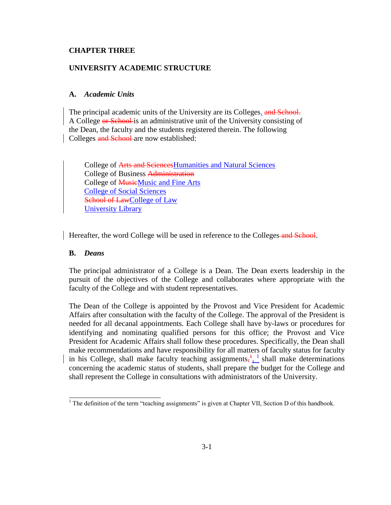### **CHAPTER THREE**

### **UNIVERSITY ACADEMIC STRUCTURE**

### **A.** *Academic Units*

The principal academic units of the University are its Colleges. and School. A College or School is an administrative unit of the University consisting of the Dean, the faculty and the students registered therein. The following Colleges and School are now established:

College of Arts and SciencesHumanities and Natural Sciences College of Business Administration College of **MusicMusic and Fine Arts** College of Social Sciences School of LawCollege of Law University Library

Hereafter, the word College will be used in reference to the Colleges and School.

#### **B.** *Deans*

The principal administrator of a College is a Dean. The Dean exerts leadership in the pursuit of the objectives of the College and collaborates where appropriate with the faculty of the College and with student representatives.

The Dean of the College is appointed by the Provost and Vice President for Academic Affairs after consultation with the faculty of the College. The approval of the President is needed for all decanal appointments. Each College shall have by-laws or procedures for identifying and nominating qualified persons for this office; the Provost and Vice President for Academic Affairs shall follow these procedures. Specifically, the Dean shall make recommendations and have responsibility for all matters of faculty status for faculty in his College, shall make faculty teaching assignments,  $\frac{1}{2}$  shall make determinations concerning the academic status of students, shall prepare the budget for the College and shall represent the College in consultations with administrators of the University.

 $1$  The definition of the term "teaching assignments" is given at Chapter VII, Section D of this handbook.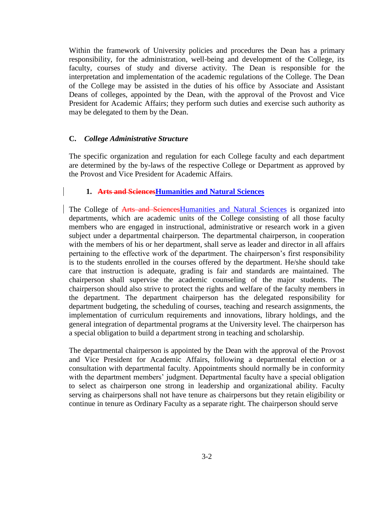Within the framework of University policies and procedures the Dean has a primary responsibility, for the administration, well-being and development of the College, its faculty, courses of study and diverse activity. The Dean is responsible for the interpretation and implementation of the academic regulations of the College. The Dean of the College may be assisted in the duties of his office by Associate and Assistant Deans of colleges, appointed by the Dean, with the approval of the Provost and Vice President for Academic Affairs; they perform such duties and exercise such authority as may be delegated to them by the Dean.

#### **C.** *College Administrative Structure*

The specific organization and regulation for each College faculty and each department are determined by the by-laws of the respective College or Department as approved by the Provost and Vice President for Academic Affairs.

#### **1. Arts and SciencesHumanities and Natural Sciences**

The College of Arts and SciencesHumanities and Natural Sciences is organized into departments, which are academic units of the College consisting of all those faculty members who are engaged in instructional, administrative or research work in a given subject under a departmental chairperson. The departmental chairperson, in cooperation with the members of his or her department, shall serve as leader and director in all affairs pertaining to the effective work of the department. The chairperson's first responsibility is to the students enrolled in the courses offered by the department. He/she should take care that instruction is adequate, grading is fair and standards are maintained. The chairperson shall supervise the academic counseling of the major students. The chairperson should also strive to protect the rights and welfare of the faculty members in the department. The department chairperson has the delegated responsibility for department budgeting, the scheduling of courses, teaching and research assignments, the implementation of curriculum requirements and innovations, library holdings, and the general integration of departmental programs at the University level. The chairperson has a special obligation to build a department strong in teaching and scholarship.

The departmental chairperson is appointed by the Dean with the approval of the Provost and Vice President for Academic Affairs, following a departmental election or a consultation with departmental faculty. Appointments should normally be in conformity with the department members' judgment. Departmental faculty have a special obligation to select as chairperson one strong in leadership and organizational ability. Faculty serving as chairpersons shall not have tenure as chairpersons but they retain eligibility or continue in tenure as Ordinary Faculty as a separate right. The chairperson should serve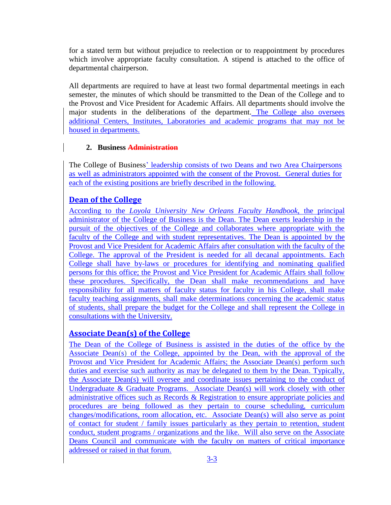for a stated term but without prejudice to reelection or to reappointment by procedures which involve appropriate faculty consultation. A stipend is attached to the office of departmental chairperson.

All departments are required to have at least two formal departmental meetings in each semester, the minutes of which should be transmitted to the Dean of the College and to the Provost and Vice President for Academic Affairs. All departments should involve the major students in the deliberations of the department. The College also oversees additional Centers, Institutes, Laboratories and academic programs that may not be housed in departments.

## **2. Business Administration**

The College of Business' leadership consists of two Deans and two Area Chairpersons as well as administrators appointed with the consent of the Provost. General duties for each of the existing positions are briefly described in the following.

# **Dean of the College**

According to the *Loyola University New Orleans Faculty Handbook*, the principal administrator of the College of Business is the Dean. The Dean exerts leadership in the pursuit of the objectives of the College and collaborates where appropriate with the faculty of the College and with student representatives. The Dean is appointed by the Provost and Vice President for Academic Affairs after consultation with the faculty of the College. The approval of the President is needed for all decanal appointments. Each College shall have by-laws or procedures for identifying and nominating qualified persons for this office; the Provost and Vice President for Academic Affairs shall follow these procedures. Specifically, the Dean shall make recommendations and have responsibility for all matters of faculty status for faculty in his College, shall make faculty teaching assignments, shall make determinations concerning the academic status of students, shall prepare the budget for the College and shall represent the College in consultations with the University.

# **Associate Dean(s) of the College**

The Dean of the College of Business is assisted in the duties of the office by the Associate Dean(s) of the College, appointed by the Dean, with the approval of the Provost and Vice President for Academic Affairs; the Associate Dean(s) perform such duties and exercise such authority as may be delegated to them by the Dean. Typically, the Associate Dean(s) will oversee and coordinate issues pertaining to the conduct of Undergraduate & Graduate Programs. Associate Dean(s) will work closely with other administrative offices such as Records & Registration to ensure appropriate policies and procedures are being followed as they pertain to course scheduling, curriculum changes/modifications, room allocation, etc. Associate Dean(s) will also serve as point of contact for student / family issues particularly as they pertain to retention, student conduct, student programs / organizations and the like. Will also serve on the Associate Deans Council and communicate with the faculty on matters of critical importance addressed or raised in that forum.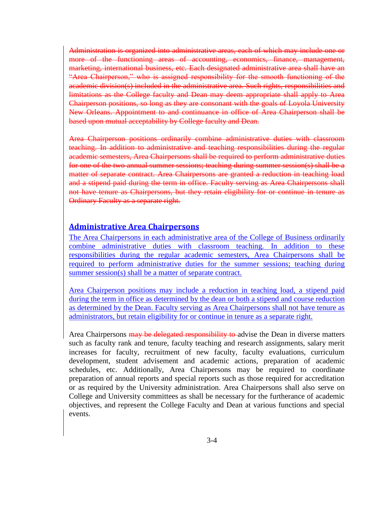Administration is organized into administrative areas, each of which may include one or more of the functioning areas of accounting, economics, finance, management, marketing, international business, etc. Each designated administrative area shall have an "Area Chairperson," who is assigned responsibility for the smooth functioning of the academic division(s) included in the administrative area. Such rights, responsibilities and limitations as the College faculty and Dean may deem appropriate shall apply to Area Chairperson positions, so long as they are consonant with the goals of Loyola University New Orleans. Appointment to and continuance in office of Area Chairperson shall be based upon mutual acceptability by College faculty and Dean.

Area Chairperson positions ordinarily combine administrative duties with classroom teaching. In addition to administrative and teaching responsibilities during the regular academic semesters, Area Chairpersons shall be required to perform administrative duties for one of the two annual summer sessions; teaching during summer session(s) shall be a matter of separate contract. Area Chairpersons are granted a reduction in teaching load and a stipend paid during the term in office. Faculty serving as Area Chairpersons shall not have tenure as Chairpersons, but they retain eligibility for or continue in tenure as Ordinary Faculty as a separate right.

### **Administrative Area Chairpersons**

The Area Chairpersons in each administrative area of the College of Business ordinarily combine administrative duties with classroom teaching. In addition to these responsibilities during the regular academic semesters, Area Chairpersons shall be required to perform administrative duties for the summer sessions; teaching during summer session(s) shall be a matter of separate contract.

Area Chairperson positions may include a reduction in teaching load, a stipend paid during the term in office as determined by the dean or both a stipend and course reduction as determined by the Dean. Faculty serving as Area Chairpersons shall not have tenure as administrators, but retain eligibility for or continue in tenure as a separate right.

Area Chairpersons may be delegated responsibility to advise the Dean in diverse matters such as faculty rank and tenure, faculty teaching and research assignments, salary merit increases for faculty, recruitment of new faculty, faculty evaluations, curriculum development, student advisement and academic actions, preparation of academic schedules, etc. Additionally, Area Chairpersons may be required to coordinate preparation of annual reports and special reports such as those required for accreditation or as required by the University administration. Area Chairpersons shall also serve on College and University committees as shall be necessary for the furtherance of academic objectives, and represent the College Faculty and Dean at various functions and special events.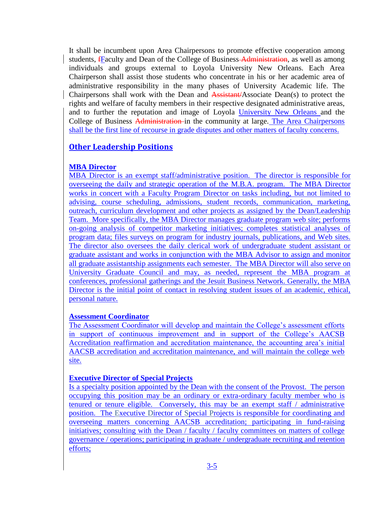It shall be incumbent upon Area Chairpersons to promote effective cooperation among students, Faculty and Dean of the College of Business-Administration, as well as among individuals and groups external to Loyola University New Orleans. Each Area Chairperson shall assist those students who concentrate in his or her academic area of administrative responsibility in the many phases of University Academic life. The Chairpersons shall work with the Dean and Assistant/Associate Dean(s) to protect the rights and welfare of faculty members in their respective designated administrative areas, and to further the reputation and image of Loyola University New Orleans and the College of Business Administration in the community at large. The Area Chairpersons shall be the first line of recourse in grade disputes and other matters of faculty concerns.

## **Other Leadership Positions**

### **MBA Director**

MBA Director is an exempt staff/administrative position. The director is responsible for overseeing the daily and strategic operation of the M.B.A. program. The MBA Director works in concert with a Faculty Program Director on tasks including, but not limited to advising, course scheduling, admissions, student records, communication, marketing, outreach, curriculum development and other projects as assigned by the Dean/Leadership Team. More specifically, the MBA Director manages graduate program web site; performs on-going analysis of competitor marketing initiatives; completes statistical analyses of program data; files surveys on program for industry journals, publications, and Web sites. The director also oversees the daily clerical work of undergraduate student assistant or graduate assistant and works in conjunction with the MBA Advisor to assign and monitor all graduate assistantship assignments each semester. The MBA Director will also serve on University Graduate Council and may, as needed, represent the MBA program at conferences, professional gatherings and the Jesuit Business Network. Generally, the MBA Director is the initial point of contact in resolving student issues of an academic, ethical, personal nature.

### **Assessment Coordinator**

The Assessment Coordinator will develop and maintain the College's assessment efforts in support of continuous improvement and in support of the College's AACSB Accreditation reaffirmation and accreditation maintenance, the accounting area's initial AACSB accreditation and accreditation maintenance, and will maintain the college web site.

### **Executive Director of Special Projects**

Is a specialty position appointed by the Dean with the consent of the Provost. The person occupying this position may be an ordinary or extra-ordinary faculty member who is tenured or tenure eligible. Conversely, this may be an exempt staff / administrative position. The Executive Director of Special Projects is responsible for coordinating and overseeing matters concerning AACSB accreditation; participating in fund-raising initiatives; consulting with the Dean / faculty / faculty committees on matters of college governance / operations; participating in graduate / undergraduate recruiting and retention efforts;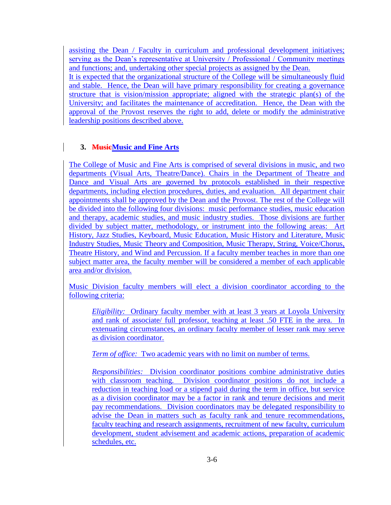assisting the Dean / Faculty in curriculum and professional development initiatives; serving as the Dean's representative at University / Professional / Community meetings and functions; and, undertaking other special projects as assigned by the Dean.

It is expected that the organizational structure of the College will be simultaneously fluid and stable. Hence, the Dean will have primary responsibility for creating a governance structure that is vision/mission appropriate; aligned with the strategic plan(s) of the University; and facilitates the maintenance of accreditation. Hence, the Dean with the approval of the Provost reserves the right to add, delete or modify the administrative leadership positions described above.

# **3. MusicMusic and Fine Arts**

The College of Music and Fine Arts is comprised of several divisions in music, and two departments (Visual Arts, Theatre/Dance). Chairs in the Department of Theatre and Dance and Visual Arts are governed by protocols established in their respective departments, including election procedures, duties, and evaluation. All department chair appointments shall be approved by the Dean and the Provost. The rest of the College will be divided into the following four divisions: music performance studies, music education and therapy, academic studies, and music industry studies. Those divisions are further divided by subject matter, methodology, or instrument into the following areas: Art History, Jazz Studies, Keyboard, Music Education, Music History and Literature, Music Industry Studies, Music Theory and Composition, Music Therapy, String, Voice/Chorus, Theatre History, and Wind and Percussion. If a faculty member teaches in more than one subject matter area, the faculty member will be considered a member of each applicable area and/or division.

Music Division faculty members will elect a division coordinator according to the following criteria:

*Eligibility:* Ordinary faculty member with at least 3 years at Loyola University and rank of associate/ full professor, teaching at least .50 FTE in the area. In extenuating circumstances, an ordinary faculty member of lesser rank may serve as division coordinator.

*Term of office:* Two academic years with no limit on number of terms.

*Responsibilities:* Division coordinator positions combine administrative duties with classroom teaching. Division coordinator positions do not include a reduction in teaching load or a stipend paid during the term in office, but service as a division coordinator may be a factor in rank and tenure decisions and merit pay recommendations. Division coordinators may be delegated responsibility to advise the Dean in matters such as faculty rank and tenure recommendations, faculty teaching and research assignments, recruitment of new faculty, curriculum development, student advisement and academic actions, preparation of academic schedules, etc.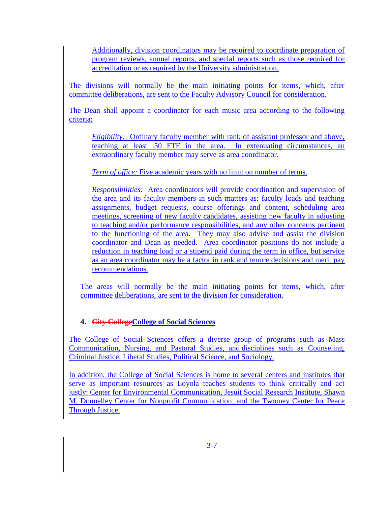Additionally, division coordinators may be required to coordinate preparation of program reviews, annual reports, and special reports such as those required for accreditation or as required by the University administration.

The divisions will normally be the main initiating points for items, which, after committee deliberations, are sent to the Faculty Advisory Council for consideration.

The Dean shall appoint a coordinator for each music area according to the following criteria:

*Eligibility:* Ordinary faculty member with rank of assistant professor and above, teaching at least .50 FTE in the area. In extenuating circumstances, an extraordinary faculty member may serve as area coordinator.

*Term of office:* Five academic years with no limit on number of terms.

*Responsibilities:* Area coordinators will provide coordination and supervision of the area and its faculty members in such matters as: faculty loads and teaching assignments, budget requests, course offerings and content, scheduling area meetings, screening of new faculty candidates, assisting new faculty in adjusting to teaching and/or performance responsibilities, and any other concerns pertinent to the functioning of the area. They may also advise and assist the division coordinator and Dean as needed. Area coordinator positions do not include a reduction in teaching load or a stipend paid during the term in office, but service as an area coordinator may be a factor in rank and tenure decisions and merit pay recommendations.

The areas will normally be the main initiating points for items, which, after committee deliberations, are sent to the division for consideration.

# **4. City CollegeCollege of Social Sciences**

The College of Social Sciences offers a diverse group of programs such as [Mass](http://css.loyno.edu/masscomm)  [Communication,](http://css.loyno.edu/masscomm) [Nursing,](http://css.loyno.edu/nursing) and [Pastoral Studies,](http://www.lim.loyno.edu/oncampus/mps.htm) and disciplines such as [Counseling,](http://css.loyno.edu/counseling) [Criminal Justice,](http://css.loyno.edu/criminaljustice) [Liberal Studies,](http://css.loyno.edu/professional-studies) [Political Science,](http://css.loyno.edu/polisci) and [Sociology.](http://css.loyno.edu/sociology)

In addition, the College of Social Sciences is home to several centers and institutes that serve as important resources as Loyola teaches students to think critically and act justly: [Center for Environmental Communication,](http://www.loyno.edu/lucec) [Jesuit Social Research Institute,](http://www.loyno.edu/jsri/) [Shawn](http://www.loyno.edu/dcenter)  [M. Donnelley Center for Nonprofit Communication,](http://www.loyno.edu/dcenter) and the [Twomey Center for Peace](http://www.loyno.edu/twomey)  [Through Justice.](http://www.loyno.edu/twomey)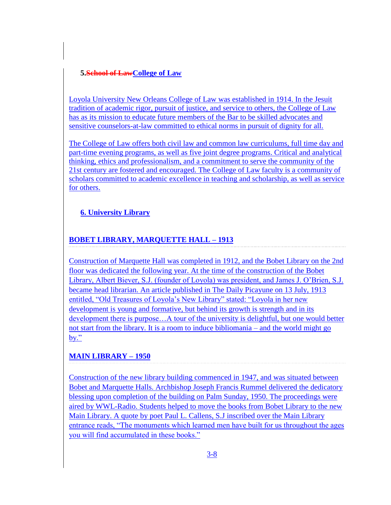## **5.School of LawCollege of Law**

Loyola University New Orleans College of Law was established in 1914. In the Jesuit tradition of academic rigor, pursuit of justice, and service to others, the College of Law has as [its mission](http://www.loyno.edu/mission-statements/colleges/law.php) to educate future members of the Bar to be skilled advocates and sensitive counselors-at-law committed to ethical norms in pursuit of dignity for all.

The College of Law offers both civil law and common law curriculums, full time day and part-time evening programs, as well as five joint degree programs. Critical and analytical thinking, ethics and professionalism, and a commitment to serve the community of the 21st century are fostered and encouraged. The [College of Law faculty](http://law.loyno.edu/bios/) is a community of scholars committed to academic excellence in teaching and scholarship, as well as service for others.

# **6. University Library**

# **BOBET LIBRARY, MARQUETTE HALL – 1913**

Construction of Marquette Hall was completed in 1912, and the Bobet Library on the 2nd floor was dedicated the following year. At the time of the construction of the Bobet Library, Albert Biever, S.J. (founder of Loyola) was president, and James J. O'Brien, S.J. became head librarian. An article published in The Daily Picayune on 13 July, 1913 entitled, "Old Treasures of Loyola's New Library" stated: "Loyola in her new development is young and formative, but behind its growth is strength and in its development there is purpose…A tour of the university is delightful, but one would better not start from the library. It is a room to induce bibliomania – and the world might go by."

# **MAIN LIBRARY – 1950**

Construction of the new library building commenced in 1947, and was situated between Bobet and Marquette Halls. Archbishop Joseph Francis Rummel delivered the dedicatory blessing upon completion of the building on Palm Sunday, 1950. The proceedings were aired by WWL-Radio. Students helped to move the books from Bobet Library to the new Main Library. A quote by poet Paul L. Callens, S.J inscribed over the Main Library entrance reads, "The monuments which learned men have built for us throughout the ages you will find accumulated in these books."